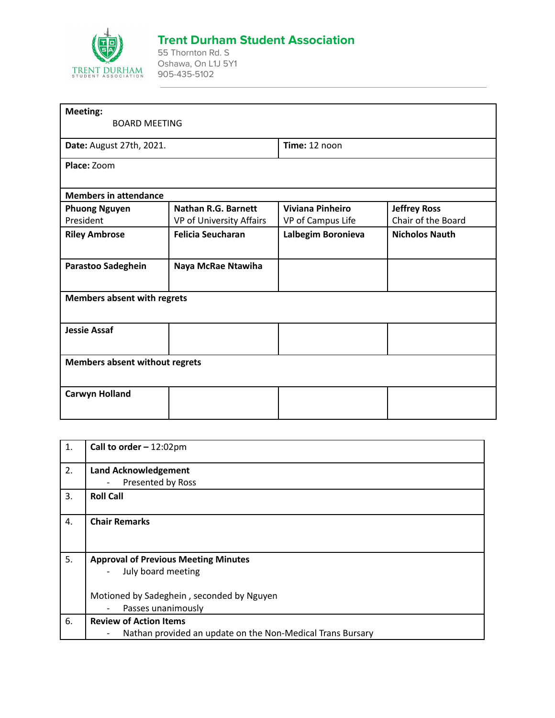

## **Trent Durham Student Association**

55 Thornton Rd. S Oshawa, On L1J 5Y1 905-435-5102

| <b>Meeting:</b>                       |                            |                         |                       |
|---------------------------------------|----------------------------|-------------------------|-----------------------|
| <b>BOARD MEETING</b>                  |                            |                         |                       |
| Date: August 27th, 2021.              |                            | Time: 12 noon           |                       |
| Place: Zoom                           |                            |                         |                       |
| <b>Members in attendance</b>          |                            |                         |                       |
| <b>Phuong Nguyen</b>                  | <b>Nathan R.G. Barnett</b> | <b>Viviana Pinheiro</b> | <b>Jeffrey Ross</b>   |
| President                             | VP of University Affairs   | VP of Campus Life       | Chair of the Board    |
| <b>Riley Ambrose</b>                  | <b>Felicia Seucharan</b>   | Lalbegim Boronieva      | <b>Nicholos Nauth</b> |
| Parastoo Sadeghein                    | Naya McRae Ntawiha         |                         |                       |
| <b>Members absent with regrets</b>    |                            |                         |                       |
| <b>Jessie Assaf</b>                   |                            |                         |                       |
| <b>Members absent without regrets</b> |                            |                         |                       |
| <b>Carwyn Holland</b>                 |                            |                         |                       |

| 1.               | Call to order $-12:02 \text{pm}$                                                |
|------------------|---------------------------------------------------------------------------------|
| 2.               | <b>Land Acknowledgement</b>                                                     |
|                  | Presented by Ross<br>$\overline{a}$                                             |
| 3.               | <b>Roll Call</b>                                                                |
| $\overline{4}$ . | <b>Chair Remarks</b>                                                            |
| 5.               | <b>Approval of Previous Meeting Minutes</b>                                     |
|                  | July board meeting<br>$\overline{\phantom{a}}$                                  |
|                  | Motioned by Sadeghein, seconded by Nguyen                                       |
|                  | Passes unanimously                                                              |
| 6.               | <b>Review of Action Items</b>                                                   |
|                  | Nathan provided an update on the Non-Medical Trans Bursary<br>$\qquad \qquad -$ |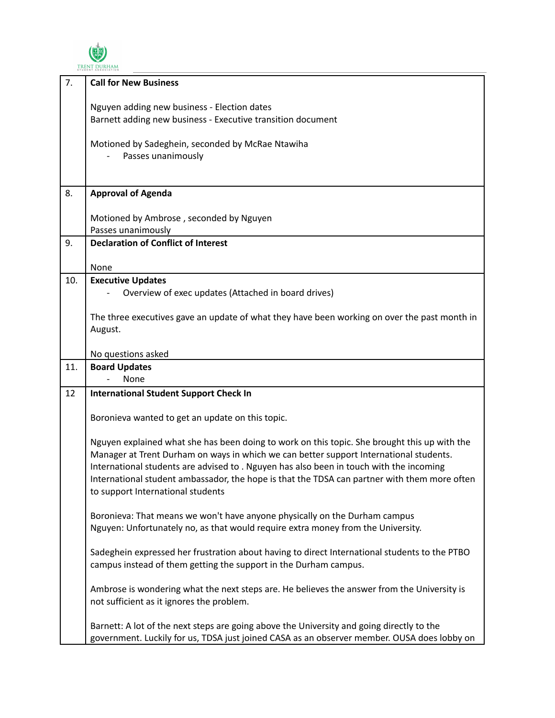

| 7.  | <b>Call for New Business</b>                                                                  |
|-----|-----------------------------------------------------------------------------------------------|
|     |                                                                                               |
|     | Nguyen adding new business - Election dates                                                   |
|     | Barnett adding new business - Executive transition document                                   |
|     |                                                                                               |
|     | Motioned by Sadeghein, seconded by McRae Ntawiha                                              |
|     | Passes unanimously                                                                            |
|     |                                                                                               |
|     |                                                                                               |
|     |                                                                                               |
| 8.  | <b>Approval of Agenda</b>                                                                     |
|     |                                                                                               |
|     | Motioned by Ambrose, seconded by Nguyen                                                       |
|     |                                                                                               |
|     | Passes unanimously                                                                            |
| 9.  | <b>Declaration of Conflict of Interest</b>                                                    |
|     |                                                                                               |
|     | None                                                                                          |
| 10. | <b>Executive Updates</b>                                                                      |
|     |                                                                                               |
|     | Overview of exec updates (Attached in board drives)                                           |
|     |                                                                                               |
|     | The three executives gave an update of what they have been working on over the past month in  |
|     | August.                                                                                       |
|     |                                                                                               |
|     | No questions asked                                                                            |
|     |                                                                                               |
| 11. | <b>Board Updates</b>                                                                          |
|     | None                                                                                          |
| 12  | <b>International Student Support Check In</b>                                                 |
|     |                                                                                               |
|     | Boronieva wanted to get an update on this topic.                                              |
|     |                                                                                               |
|     |                                                                                               |
|     | Nguyen explained what she has been doing to work on this topic. She brought this up with the  |
|     | Manager at Trent Durham on ways in which we can better support International students.        |
|     | International students are advised to . Nguyen has also been in touch with the incoming       |
|     | International student ambassador, the hope is that the TDSA can partner with them more often  |
|     |                                                                                               |
|     | to support International students                                                             |
|     |                                                                                               |
|     | Boronieva: That means we won't have anyone physically on the Durham campus                    |
|     | Nguyen: Unfortunately no, as that would require extra money from the University.              |
|     |                                                                                               |
|     | Sadeghein expressed her frustration about having to direct International students to the PTBO |
|     |                                                                                               |
|     | campus instead of them getting the support in the Durham campus.                              |
|     |                                                                                               |
|     | Ambrose is wondering what the next steps are. He believes the answer from the University is   |
|     | not sufficient as it ignores the problem.                                                     |
|     |                                                                                               |
|     |                                                                                               |
|     | Barnett: A lot of the next steps are going above the University and going directly to the     |
|     | government. Luckily for us, TDSA just joined CASA as an observer member. OUSA does lobby on   |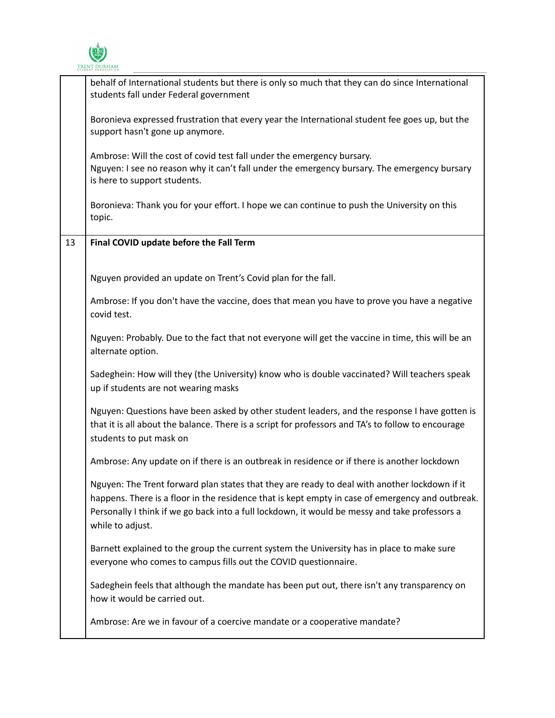

|    | behalf of International students but there is only so much that they can do since International<br>students fall under Federal government                                                                                                                                                                               |
|----|-------------------------------------------------------------------------------------------------------------------------------------------------------------------------------------------------------------------------------------------------------------------------------------------------------------------------|
|    | Boronieva expressed frustration that every year the International student fee goes up, but the<br>support hasn't gone up anymore.                                                                                                                                                                                       |
|    | Ambrose: Will the cost of covid test fall under the emergency bursary.<br>Nguyen: I see no reason why it can't fall under the emergency bursary. The emergency bursary<br>is here to support students.                                                                                                                  |
|    | Boronieva: Thank you for your effort. I hope we can continue to push the University on this<br>topic.                                                                                                                                                                                                                   |
| 13 | Final COVID update before the Fall Term                                                                                                                                                                                                                                                                                 |
|    | Nguyen provided an update on Trent's Covid plan for the fall.                                                                                                                                                                                                                                                           |
|    | Ambrose: If you don't have the vaccine, does that mean you have to prove you have a negative<br>covid test.                                                                                                                                                                                                             |
|    | Nguyen: Probably. Due to the fact that not everyone will get the vaccine in time, this will be an<br>alternate option.                                                                                                                                                                                                  |
|    | Sadeghein: How will they (the University) know who is double vaccinated? Will teachers speak<br>up if students are not wearing masks                                                                                                                                                                                    |
|    | Nguyen: Questions have been asked by other student leaders, and the response I have gotten is<br>that it is all about the balance. There is a script for professors and TA's to follow to encourage<br>students to put mask on                                                                                          |
|    | Ambrose: Any update on if there is an outbreak in residence or if there is another lockdown                                                                                                                                                                                                                             |
|    | Nguyen: The Trent forward plan states that they are ready to deal with another lockdown if it<br>happens. There is a floor in the residence that is kept empty in case of emergency and outbreak.<br>Personally I think if we go back into a full lockdown, it would be messy and take professors a<br>while to adjust. |
|    | Barnett explained to the group the current system the University has in place to make sure<br>everyone who comes to campus fills out the COVID questionnaire.                                                                                                                                                           |
|    | Sadeghein feels that although the mandate has been put out, there isn't any transparency on<br>how it would be carried out.                                                                                                                                                                                             |
|    | Ambrose: Are we in favour of a coercive mandate or a cooperative mandate?                                                                                                                                                                                                                                               |
|    |                                                                                                                                                                                                                                                                                                                         |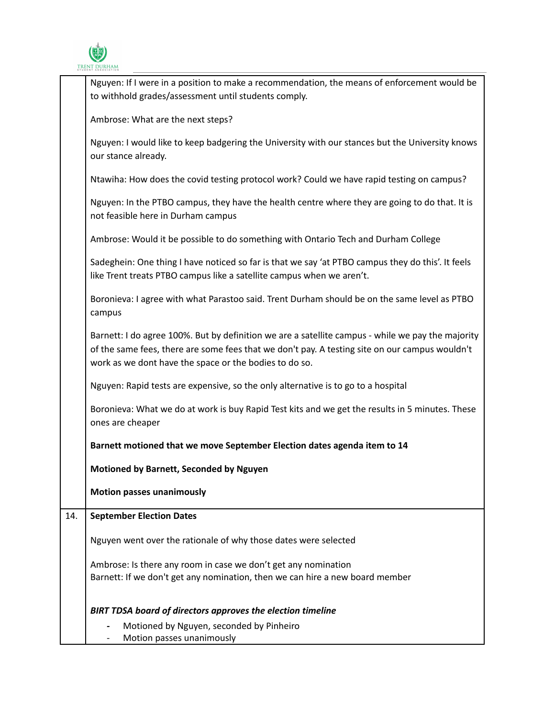

|     | Nguyen: If I were in a position to make a recommendation, the means of enforcement would be<br>to withhold grades/assessment until students comply.                                                                                                           |
|-----|---------------------------------------------------------------------------------------------------------------------------------------------------------------------------------------------------------------------------------------------------------------|
|     | Ambrose: What are the next steps?                                                                                                                                                                                                                             |
|     | Nguyen: I would like to keep badgering the University with our stances but the University knows<br>our stance already.                                                                                                                                        |
|     | Ntawiha: How does the covid testing protocol work? Could we have rapid testing on campus?                                                                                                                                                                     |
|     | Nguyen: In the PTBO campus, they have the health centre where they are going to do that. It is<br>not feasible here in Durham campus                                                                                                                          |
|     | Ambrose: Would it be possible to do something with Ontario Tech and Durham College                                                                                                                                                                            |
|     | Sadeghein: One thing I have noticed so far is that we say 'at PTBO campus they do this'. It feels<br>like Trent treats PTBO campus like a satellite campus when we aren't.                                                                                    |
|     | Boronieva: I agree with what Parastoo said. Trent Durham should be on the same level as PTBO<br>campus                                                                                                                                                        |
|     | Barnett: I do agree 100%. But by definition we are a satellite campus - while we pay the majority<br>of the same fees, there are some fees that we don't pay. A testing site on our campus wouldn't<br>work as we dont have the space or the bodies to do so. |
|     | Nguyen: Rapid tests are expensive, so the only alternative is to go to a hospital                                                                                                                                                                             |
|     | Boronieva: What we do at work is buy Rapid Test kits and we get the results in 5 minutes. These<br>ones are cheaper                                                                                                                                           |
|     | Barnett motioned that we move September Election dates agenda item to 14                                                                                                                                                                                      |
|     | Motioned by Barnett, Seconded by Nguyen                                                                                                                                                                                                                       |
|     | <b>Motion passes unanimously</b>                                                                                                                                                                                                                              |
| 14. | <b>September Election Dates</b>                                                                                                                                                                                                                               |
|     | Nguyen went over the rationale of why those dates were selected                                                                                                                                                                                               |
|     | Ambrose: Is there any room in case we don't get any nomination                                                                                                                                                                                                |
|     | Barnett: If we don't get any nomination, then we can hire a new board member                                                                                                                                                                                  |
|     | <b>BIRT TDSA board of directors approves the election timeline</b>                                                                                                                                                                                            |
|     | Motioned by Nguyen, seconded by Pinheiro                                                                                                                                                                                                                      |
|     | Motion passes unanimously                                                                                                                                                                                                                                     |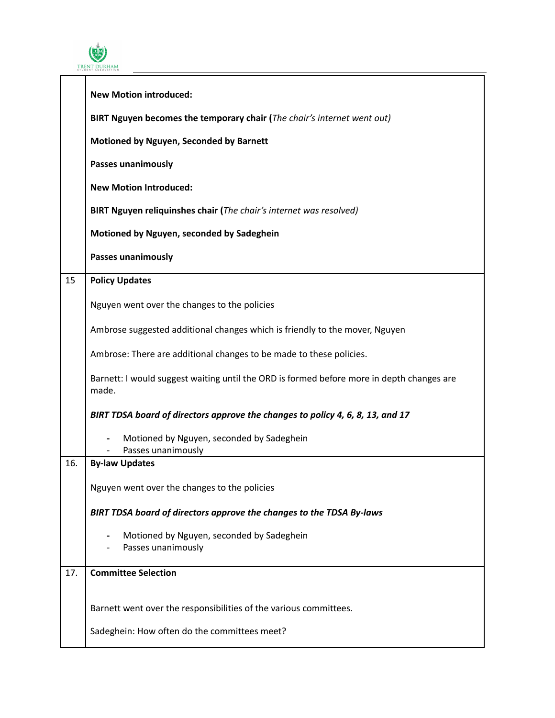

|     | <b>New Motion introduced:</b>                                                                      |
|-----|----------------------------------------------------------------------------------------------------|
|     | BIRT Nguyen becomes the temporary chair (The chair's internet went out)                            |
|     | Motioned by Nguyen, Seconded by Barnett                                                            |
|     | Passes unanimously                                                                                 |
|     | <b>New Motion Introduced:</b>                                                                      |
|     | BIRT Nguyen reliquinshes chair (The chair's internet was resolved)                                 |
|     | Motioned by Nguyen, seconded by Sadeghein                                                          |
|     | <b>Passes unanimously</b>                                                                          |
| 15  | <b>Policy Updates</b>                                                                              |
|     | Nguyen went over the changes to the policies                                                       |
|     | Ambrose suggested additional changes which is friendly to the mover, Nguyen                        |
|     | Ambrose: There are additional changes to be made to these policies.                                |
|     | Barnett: I would suggest waiting until the ORD is formed before more in depth changes are<br>made. |
|     | BIRT TDSA board of directors approve the changes to policy 4, 6, 8, 13, and 17                     |
|     | Motioned by Nguyen, seconded by Sadeghein<br>Passes unanimously                                    |
| 16. | <b>By-law Updates</b>                                                                              |
|     | Nguyen went over the changes to the policies                                                       |
|     | BIRT TDSA board of directors approve the changes to the TDSA By-laws                               |
|     | Motioned by Nguyen, seconded by Sadeghein<br>Passes unanimously                                    |
| 17. | <b>Committee Selection</b>                                                                         |
|     | Barnett went over the responsibilities of the various committees.                                  |
|     | Sadeghein: How often do the committees meet?                                                       |